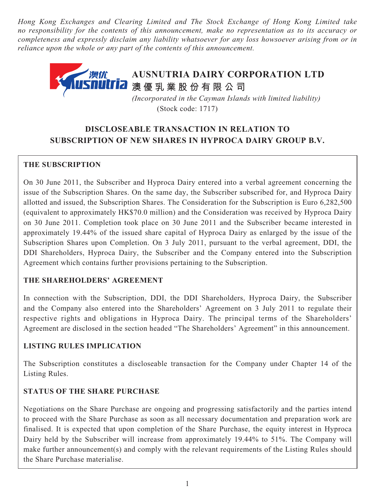*Hong Kong Exchanges and Clearing Limited and The Stock Exchange of Hong Kong Limited take no responsibility for the contents of this announcement, make no representation as to its accuracy or completeness and expressly disclaim any liability whatsoever for any loss howsoever arising from or in reliance upon the whole or any part of the contents of this announcement.*



 *(Incorporated in the Cayman Islands with limited liability)* (Stock code: 1717)

# **DISCLOSEABLE TRANSACTION IN RELATION TO SUBSCRIPTION OF NEW SHARES IN HYPROCA DAIRY GROUP B.V.**

# **THE SUBSCRIPTION**

On 30 June 2011, the Subscriber and Hyproca Dairy entered into a verbal agreement concerning the issue of the Subscription Shares. On the same day, the Subscriber subscribed for, and Hyproca Dairy allotted and issued, the Subscription Shares. The Consideration for the Subscription is Euro 6,282,500 (equivalent to approximately HK\$70.0 million) and the Consideration was received by Hyproca Dairy on 30 June 2011. Completion took place on 30 June 2011 and the Subscriber became interested in approximately 19.44% of the issued share capital of Hyproca Dairy as enlarged by the issue of the Subscription Shares upon Completion. On 3 July 2011, pursuant to the verbal agreement, DDI, the DDI Shareholders, Hyproca Dairy, the Subscriber and the Company entered into the Subscription Agreement which contains further provisions pertaining to the Subscription.

# **THE SHAREHOLDERS' AGREEMENT**

In connection with the Subscription, DDI, the DDI Shareholders, Hyproca Dairy, the Subscriber and the Company also entered into the Shareholders' Agreement on 3 July 2011 to regulate their respective rights and obligations in Hyproca Dairy. The principal terms of the Shareholders' Agreement are disclosed in the section headed "The Shareholders' Agreement" in this announcement.

# **LISTING RULES IMPLICATION**

The Subscription constitutes a discloseable transaction for the Company under Chapter 14 of the Listing Rules.

# **STATUS OF THE SHARE PURCHASE**

Negotiations on the Share Purchase are ongoing and progressing satisfactorily and the parties intend to proceed with the Share Purchase as soon as all necessary documentation and preparation work are finalised. It is expected that upon completion of the Share Purchase, the equity interest in Hyproca Dairy held by the Subscriber will increase from approximately 19.44% to 51%. The Company will make further announcement(s) and comply with the relevant requirements of the Listing Rules should the Share Purchase materialise.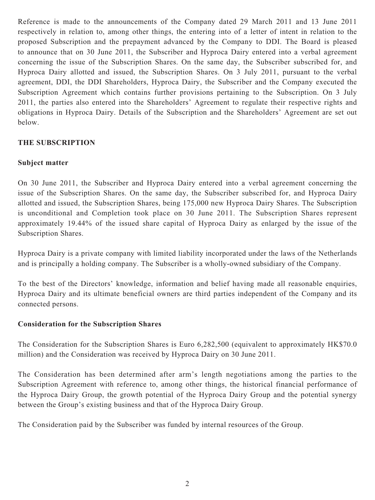Reference is made to the announcements of the Company dated 29 March 2011 and 13 June 2011 respectively in relation to, among other things, the entering into of a letter of intent in relation to the proposed Subscription and the prepayment advanced by the Company to DDI. The Board is pleased to announce that on 30 June 2011, the Subscriber and Hyproca Dairy entered into a verbal agreement concerning the issue of the Subscription Shares. On the same day, the Subscriber subscribed for, and Hyproca Dairy allotted and issued, the Subscription Shares. On 3 July 2011, pursuant to the verbal agreement, DDI, the DDI Shareholders, Hyproca Dairy, the Subscriber and the Company executed the Subscription Agreement which contains further provisions pertaining to the Subscription. On 3 July 2011, the parties also entered into the Shareholders' Agreement to regulate their respective rights and obligations in Hyproca Dairy. Details of the Subscription and the Shareholders' Agreement are set out below.

# **THE SUBSCRIPTION**

### **Subject matter**

On 30 June 2011, the Subscriber and Hyproca Dairy entered into a verbal agreement concerning the issue of the Subscription Shares. On the same day, the Subscriber subscribed for, and Hyproca Dairy allotted and issued, the Subscription Shares, being 175,000 new Hyproca Dairy Shares. The Subscription is unconditional and Completion took place on 30 June 2011. The Subscription Shares represent approximately 19.44% of the issued share capital of Hyproca Dairy as enlarged by the issue of the Subscription Shares.

Hyproca Dairy is a private company with limited liability incorporated under the laws of the Netherlands and is principally a holding company. The Subscriber is a wholly-owned subsidiary of the Company.

To the best of the Directors' knowledge, information and belief having made all reasonable enquiries, Hyproca Dairy and its ultimate beneficial owners are third parties independent of the Company and its connected persons.

#### **Consideration for the Subscription Shares**

The Consideration for the Subscription Shares is Euro 6,282,500 (equivalent to approximately HK\$70.0 million) and the Consideration was received by Hyproca Dairy on 30 June 2011.

The Consideration has been determined after arm's length negotiations among the parties to the Subscription Agreement with reference to, among other things, the historical financial performance of the Hyproca Dairy Group, the growth potential of the Hyproca Dairy Group and the potential synergy between the Group's existing business and that of the Hyproca Dairy Group.

The Consideration paid by the Subscriber was funded by internal resources of the Group.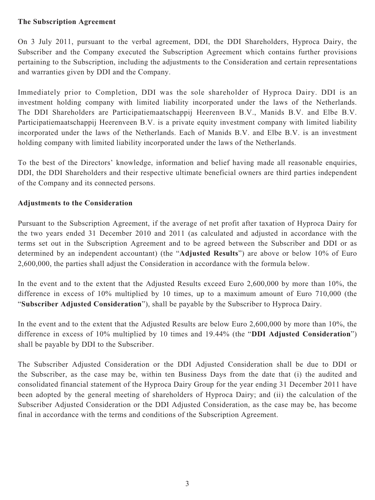#### **The Subscription Agreement**

On 3 July 2011, pursuant to the verbal agreement, DDI, the DDI Shareholders, Hyproca Dairy, the Subscriber and the Company executed the Subscription Agreement which contains further provisions pertaining to the Subscription, including the adjustments to the Consideration and certain representations and warranties given by DDI and the Company.

Immediately prior to Completion, DDI was the sole shareholder of Hyproca Dairy. DDI is an investment holding company with limited liability incorporated under the laws of the Netherlands. The DDI Shareholders are Participatiemaatschappij Heerenveen B.V., Manids B.V. and Elbe B.V. Participatiemaatschappij Heerenveen B.V. is a private equity investment company with limited liability incorporated under the laws of the Netherlands. Each of Manids B.V. and Elbe B.V. is an investment holding company with limited liability incorporated under the laws of the Netherlands.

To the best of the Directors' knowledge, information and belief having made all reasonable enquiries, DDI, the DDI Shareholders and their respective ultimate beneficial owners are third parties independent of the Company and its connected persons.

### **Adjustments to the Consideration**

Pursuant to the Subscription Agreement, if the average of net profit after taxation of Hyproca Dairy for the two years ended 31 December 2010 and 2011 (as calculated and adjusted in accordance with the terms set out in the Subscription Agreement and to be agreed between the Subscriber and DDI or as determined by an independent accountant) (the "**Adjusted Results**") are above or below 10% of Euro 2,600,000, the parties shall adjust the Consideration in accordance with the formula below.

In the event and to the extent that the Adjusted Results exceed Euro 2,600,000 by more than 10%, the difference in excess of 10% multiplied by 10 times, up to a maximum amount of Euro 710,000 (the "**Subscriber Adjusted Consideration**"), shall be payable by the Subscriber to Hyproca Dairy.

In the event and to the extent that the Adjusted Results are below Euro 2,600,000 by more than 10%, the difference in excess of 10% multiplied by 10 times and 19.44% (the "**DDI Adjusted Consideration**") shall be payable by DDI to the Subscriber.

The Subscriber Adjusted Consideration or the DDI Adjusted Consideration shall be due to DDI or the Subscriber, as the case may be, within ten Business Days from the date that (i) the audited and consolidated financial statement of the Hyproca Dairy Group for the year ending 31 December 2011 have been adopted by the general meeting of shareholders of Hyproca Dairy; and (ii) the calculation of the Subscriber Adjusted Consideration or the DDI Adjusted Consideration, as the case may be, has become final in accordance with the terms and conditions of the Subscription Agreement.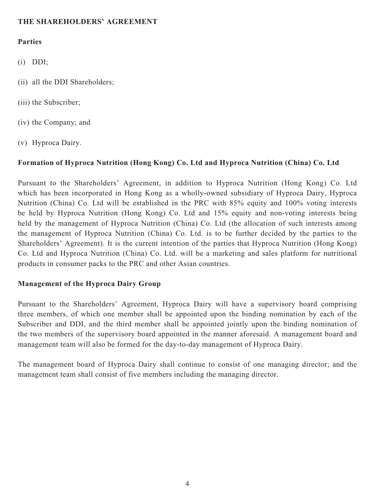### **THE SHAREHOLDERS' AGREEMENT**

#### **Parties**

- (i) DDI;
- (ii) all the DDI Shareholders;
- (iii) the Subscriber;
- (iv) the Company; and
- (v) Hyproca Dairy.

# **Formation of Hyproca Nutrition (Hong Kong) Co. Ltd and Hyproca Nutrition (China) Co. Ltd**

Pursuant to the Shareholders' Agreement, in addition to Hyproca Nutrition (Hong Kong) Co. Ltd which has been incorporated in Hong Kong as a wholly-owned subsidiary of Hyproca Dairy, Hyproca Nutrition (China) Co. Ltd will be established in the PRC with 85% equity and 100% voting interests be held by Hyproca Nutrition (Hong Kong) Co. Ltd and 15% equity and non-voting interests being held by the management of Hyproca Nutrition (China) Co. Ltd (the allocation of such interests among the management of Hyproca Nutrition (China) Co. Ltd. is to be further decided by the parties to the Shareholders' Agreement). It is the current intention of the parties that Hyproca Nutrition (Hong Kong) Co. Ltd and Hyproca Nutrition (China) Co. Ltd. will be a marketing and sales platform for nutritional products in consumer packs to the PRC and other Asian countries.

### **Management of the Hyproca Dairy Group**

Pursuant to the Shareholders' Agreement, Hyproca Dairy will have a supervisory board comprising three members, of which one member shall be appointed upon the binding nomination by each of the Subscriber and DDI, and the third member shall be appointed jointly upon the binding nomination of the two members of the supervisory board appointed in the manner aforesaid. A management board and management team will also be formed for the day-to-day management of Hyproca Dairy.

The management board of Hyproca Dairy shall continue to consist of one managing director; and the management team shall consist of five members including the managing director.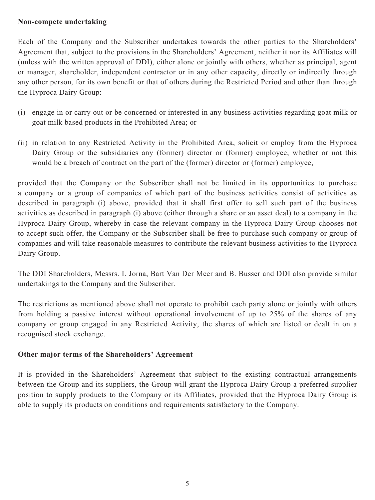### **Non-compete undertaking**

Each of the Company and the Subscriber undertakes towards the other parties to the Shareholders' Agreement that, subject to the provisions in the Shareholders' Agreement, neither it nor its Affiliates will (unless with the written approval of DDI), either alone or jointly with others, whether as principal, agent or manager, shareholder, independent contractor or in any other capacity, directly or indirectly through any other person, for its own benefit or that of others during the Restricted Period and other than through the Hyproca Dairy Group:

- (i) engage in or carry out or be concerned or interested in any business activities regarding goat milk or goat milk based products in the Prohibited Area; or
- (ii) in relation to any Restricted Activity in the Prohibited Area, solicit or employ from the Hyproca Dairy Group or the subsidiaries any (former) director or (former) employee, whether or not this would be a breach of contract on the part of the (former) director or (former) employee,

provided that the Company or the Subscriber shall not be limited in its opportunities to purchase a company or a group of companies of which part of the business activities consist of activities as described in paragraph (i) above, provided that it shall first offer to sell such part of the business activities as described in paragraph (i) above (either through a share or an asset deal) to a company in the Hyproca Dairy Group, whereby in case the relevant company in the Hyproca Dairy Group chooses not to accept such offer, the Company or the Subscriber shall be free to purchase such company or group of companies and will take reasonable measures to contribute the relevant business activities to the Hyproca Dairy Group.

The DDI Shareholders, Messrs. I. Jorna, Bart Van Der Meer and B. Busser and DDI also provide similar undertakings to the Company and the Subscriber.

The restrictions as mentioned above shall not operate to prohibit each party alone or jointly with others from holding a passive interest without operational involvement of up to 25% of the shares of any company or group engaged in any Restricted Activity, the shares of which are listed or dealt in on a recognised stock exchange.

# **Other major terms of the Shareholders' Agreement**

It is provided in the Shareholders' Agreement that subject to the existing contractual arrangements between the Group and its suppliers, the Group will grant the Hyproca Dairy Group a preferred supplier position to supply products to the Company or its Affiliates, provided that the Hyproca Dairy Group is able to supply its products on conditions and requirements satisfactory to the Company.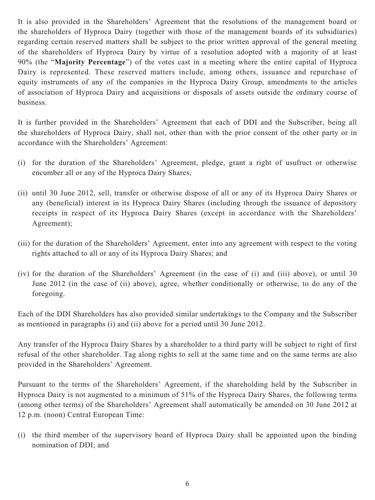It is also provided in the Shareholders' Agreement that the resolutions of the management board or the shareholders of Hyproca Dairy (together with those of the management boards of its subsidiaries) regarding certain reserved matters shall be subject to the prior written approval of the general meeting of the shareholders of Hyproca Dairy by virtue of a resolution adopted with a majority of at least 90% (the "**Majority Percentage**") of the votes cast in a meeting where the entire capital of Hyproca Dairy is represented. These reserved matters include, among others, issuance and repurchase of equity instruments of any of the companies in the Hyproca Dairy Group, amendments to the articles of association of Hyproca Dairy and acquisitions or disposals of assets outside the ordinary course of business.

It is further provided in the Shareholders' Agreement that each of DDI and the Subscriber, being all the shareholders of Hyproca Dairy, shall not, other than with the prior consent of the other party or in accordance with the Shareholders' Agreement:

- (i) for the duration of the Shareholders' Agreement, pledge, grant a right of usufruct or otherwise encumber all or any of the Hyproca Dairy Shares;
- (ii) until 30 June 2012, sell, transfer or otherwise dispose of all or any of its Hyproca Dairy Shares or any (beneficial) interest in its Hyproca Dairy Shares (including through the issuance of depository receipts in respect of its Hyproca Dairy Shares (except in accordance with the Shareholders' Agreement);
- (iii) for the duration of the Shareholders' Agreement, enter into any agreement with respect to the voting rights attached to all or any of its Hyproca Dairy Shares; and
- (iv) for the duration of the Shareholders' Agreement (in the case of (i) and (iii) above), or until 30 June 2012 (in the case of (ii) above), agree, whether conditionally or otherwise, to do any of the foregoing.

Each of the DDI Shareholders has also provided similar undertakings to the Company and the Subscriber as mentioned in paragraphs (i) and (ii) above for a period until 30 June 2012.

Any transfer of the Hyproca Dairy Shares by a shareholder to a third party will be subject to right of first refusal of the other shareholder. Tag along rights to sell at the same time and on the same terms are also provided in the Shareholders' Agreement.

Pursuant to the terms of the Shareholders' Agreement, if the shareholding held by the Subscriber in Hyproca Dairy is not augmented to a minimum of 51% of the Hyproca Dairy Shares, the following terms (among other terms) of the Shareholders' Agreement shall automatically be amended on 30 June 2012 at 12 p.m. (noon) Central European Time:

(i) the third member of the supervisory board of Hyproca Dairy shall be appointed upon the binding nomination of DDI; and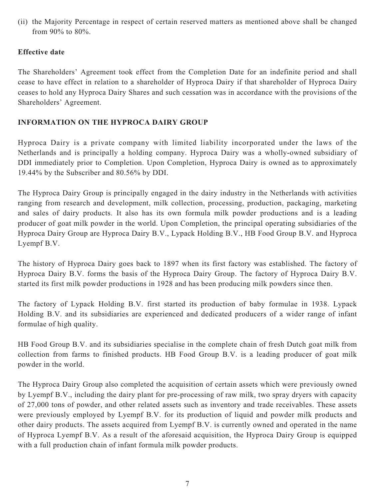(ii) the Majority Percentage in respect of certain reserved matters as mentioned above shall be changed from 90% to 80%.

# **Effective date**

The Shareholders' Agreement took effect from the Completion Date for an indefinite period and shall cease to have effect in relation to a shareholder of Hyproca Dairy if that shareholder of Hyproca Dairy ceases to hold any Hyproca Dairy Shares and such cessation was in accordance with the provisions of the Shareholders' Agreement.

### **INFORMATION ON THE HYPROCA DAIRY GROUP**

Hyproca Dairy is a private company with limited liability incorporated under the laws of the Netherlands and is principally a holding company. Hyproca Dairy was a wholly-owned subsidiary of DDI immediately prior to Completion. Upon Completion, Hyproca Dairy is owned as to approximately 19.44% by the Subscriber and 80.56% by DDI.

The Hyproca Dairy Group is principally engaged in the dairy industry in the Netherlands with activities ranging from research and development, milk collection, processing, production, packaging, marketing and sales of dairy products. It also has its own formula milk powder productions and is a leading producer of goat milk powder in the world. Upon Completion, the principal operating subsidiaries of the Hyproca Dairy Group are Hyproca Dairy B.V., Lypack Holding B.V., HB Food Group B.V. and Hyproca Lyempf B.V.

The history of Hyproca Dairy goes back to 1897 when its first factory was established. The factory of Hyproca Dairy B.V. forms the basis of the Hyproca Dairy Group. The factory of Hyproca Dairy B.V. started its first milk powder productions in 1928 and has been producing milk powders since then.

The factory of Lypack Holding B.V. first started its production of baby formulae in 1938. Lypack Holding B.V. and its subsidiaries are experienced and dedicated producers of a wider range of infant formulae of high quality.

HB Food Group B.V. and its subsidiaries specialise in the complete chain of fresh Dutch goat milk from collection from farms to finished products. HB Food Group B.V. is a leading producer of goat milk powder in the world.

The Hyproca Dairy Group also completed the acquisition of certain assets which were previously owned by Lyempf B.V., including the dairy plant for pre-processing of raw milk, two spray dryers with capacity of 27,000 tons of powder, and other related assets such as inventory and trade receivables. These assets were previously employed by Lyempf B.V. for its production of liquid and powder milk products and other dairy products. The assets acquired from Lyempf B.V. is currently owned and operated in the name of Hyproca Lyempf B.V. As a result of the aforesaid acquisition, the Hyproca Dairy Group is equipped with a full production chain of infant formula milk powder products.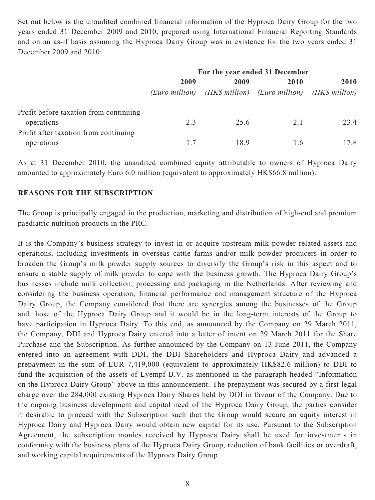Set out below is the unaudited combined financial information of the Hyproca Dairy Group for the two years ended 31 December 2009 and 2010, prepared using International Financial Reporting Standards and on an as-if basis assuming the Hyproca Dairy Group was in existence for the two years ended 31 December 2009 and 2010:

|                                        | For the year ended 31 December |      |                                                             |      |
|----------------------------------------|--------------------------------|------|-------------------------------------------------------------|------|
|                                        | 2009                           | 2009 | 2010                                                        | 2010 |
|                                        |                                |      | (Euro million) (HK\$ million) (Euro million) (HK\$ million) |      |
| Profit before taxation from continuing |                                |      |                                                             |      |
| operations                             | 2.3                            | 25.6 | 2.1                                                         | 23.4 |
| Profit after taxation from continuing  |                                |      |                                                             |      |
| operations                             |                                | 18.9 | 1.6                                                         | 17.8 |

As at 31 December 2010, the unaudited combined equity attributable to owners of Hyproca Dairy amounted to approximately Euro 6.0 million (equivalent to approximately HK\$66.8 million).

#### **REASONS FOR THE SUBSCRIPTION**

The Group is principally engaged in the production, marketing and distribution of high-end and premium paediatric nutrition products in the PRC.

It is the Company's business strategy to invest in or acquire upstream milk powder related assets and operations, including investments in overseas cattle farms and/or milk powder producers in order to broaden the Group's milk powder supply sources to diversify the Group's risk in this aspect and to ensure a stable supply of milk powder to cope with the business growth. The Hyproca Dairy Group's businesses include milk collection, processing and packaging in the Netherlands. After reviewing and considering the business operation, financial performance and management structure of the Hyproca Dairy Group, the Company considered that there are synergies among the businesses of the Group and those of the Hyproca Dairy Group and it would be in the long-term interests of the Group to have participation in Hyproca Dairy. To this end, as announced by the Company on 29 March 2011, the Company, DDI and Hyproca Dairy entered into a letter of intent on 29 March 2011 for the Share Purchase and the Subscription. As further announced by the Company on 13 June 2011, the Company entered into an agreement with DDI, the DDI Shareholders and Hyproca Dairy and advanced a prepayment in the sum of EUR 7,419,000 (equivalent to approximately HK\$82.6 million) to DDI to fund the acquisition of the assets of Lyempf B.V. as mentioned in the paragraph headed "Information on the Hyproca Dairy Group" above in this announcement. The prepayment was secured by a first legal charge over the 284,000 existing Hyproca Dairy Shares held by DDI in favour of the Company. Due to the ongoing business development and capital need of the Hyproca Dairy Group, the parties consider it desirable to proceed with the Subscription such that the Group would secure an equity interest in Hyproca Dairy and Hyproca Dairy would obtain new capital for its use. Pursuant to the Subscription Agreement, the subscription monies received by Hyproca Dairy shall be used for investments in conformity with the business plans of the Hyproca Dairy Group, reduction of bank facilities or overdraft, and working capital requirements of the Hyproca Dairy Group.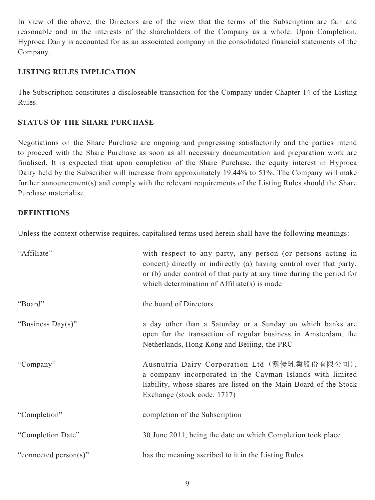In view of the above, the Directors are of the view that the terms of the Subscription are fair and reasonable and in the interests of the shareholders of the Company as a whole. Upon Completion, Hyproca Dairy is accounted for as an associated company in the consolidated financial statements of the Company.

### **LISTING RULES IMPLICATION**

The Subscription constitutes a discloseable transaction for the Company under Chapter 14 of the Listing Rules.

### **STATUS OF THE SHARE PURCHASE**

Negotiations on the Share Purchase are ongoing and progressing satisfactorily and the parties intend to proceed with the Share Purchase as soon as all necessary documentation and preparation work are finalised. It is expected that upon completion of the Share Purchase, the equity interest in Hyproca Dairy held by the Subscriber will increase from approximately 19.44% to 51%. The Company will make further announcement(s) and comply with the relevant requirements of the Listing Rules should the Share Purchase materialise.

### **DEFINITIONS**

Unless the context otherwise requires, capitalised terms used herein shall have the following meanings:

| "Affiliate"           | with respect to any party, any person (or persons acting in<br>concert) directly or indirectly (a) having control over that party;<br>or (b) under control of that party at any time during the period for<br>which determination of Affiliate(s) is made |
|-----------------------|-----------------------------------------------------------------------------------------------------------------------------------------------------------------------------------------------------------------------------------------------------------|
| "Board"               | the board of Directors                                                                                                                                                                                                                                    |
| "Business Day(s)"     | a day other than a Saturday or a Sunday on which banks are<br>open for the transaction of regular business in Amsterdam, the<br>Netherlands, Hong Kong and Beijing, the PRC                                                                               |
| "Company"             | Ausnutria Dairy Corporation Ltd (澳優乳業股份有限公司),<br>a company incorporated in the Cayman Islands with limited<br>liability, whose shares are listed on the Main Board of the Stock<br>Exchange (stock code: 1717)                                            |
| "Completion"          | completion of the Subscription                                                                                                                                                                                                                            |
| "Completion Date"     | 30 June 2011, being the date on which Completion took place                                                                                                                                                                                               |
| "connected person(s)" | has the meaning ascribed to it in the Listing Rules                                                                                                                                                                                                       |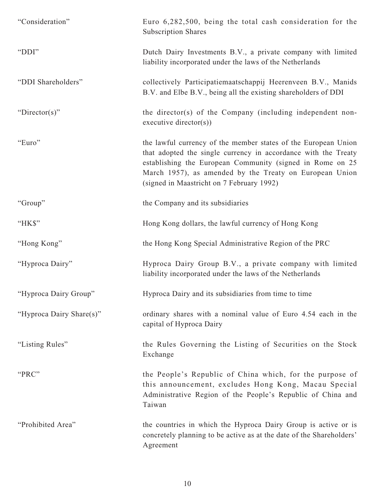| "Consideration"          | Euro 6,282,500, being the total cash consideration for the<br><b>Subscription Shares</b>                                                                                                                                                                                                              |
|--------------------------|-------------------------------------------------------------------------------------------------------------------------------------------------------------------------------------------------------------------------------------------------------------------------------------------------------|
| "DDI"                    | Dutch Dairy Investments B.V., a private company with limited<br>liability incorporated under the laws of the Netherlands                                                                                                                                                                              |
| "DDI Shareholders"       | collectively Participatiemaatschappij Heerenveen B.V., Manids<br>B.V. and Elbe B.V., being all the existing shareholders of DDI                                                                                                                                                                       |
| "Director(s)"            | the director(s) of the Company (including independent non-<br>$executive$ director $(s)$ )                                                                                                                                                                                                            |
| "Euro"                   | the lawful currency of the member states of the European Union<br>that adopted the single currency in accordance with the Treaty<br>establishing the European Community (signed in Rome on 25<br>March 1957), as amended by the Treaty on European Union<br>(signed in Maastricht on 7 February 1992) |
| "Group"                  | the Company and its subsidiaries                                                                                                                                                                                                                                                                      |
| "HK\$"                   | Hong Kong dollars, the lawful currency of Hong Kong                                                                                                                                                                                                                                                   |
| "Hong Kong"              | the Hong Kong Special Administrative Region of the PRC                                                                                                                                                                                                                                                |
| "Hyproca Dairy"          | Hyproca Dairy Group B.V., a private company with limited<br>liability incorporated under the laws of the Netherlands                                                                                                                                                                                  |
| "Hyproca Dairy Group"    | Hyproca Dairy and its subsidiaries from time to time                                                                                                                                                                                                                                                  |
| "Hyproca Dairy Share(s)" | ordinary shares with a nominal value of Euro 4.54 each in the<br>capital of Hyproca Dairy                                                                                                                                                                                                             |
| "Listing Rules"          | the Rules Governing the Listing of Securities on the Stock<br>Exchange                                                                                                                                                                                                                                |
| "PRC"                    | the People's Republic of China which, for the purpose of<br>this announcement, excludes Hong Kong, Macau Special<br>Administrative Region of the People's Republic of China and<br>Taiwan                                                                                                             |
| "Prohibited Area"        | the countries in which the Hyproca Dairy Group is active or is<br>concretely planning to be active as at the date of the Shareholders'<br>Agreement                                                                                                                                                   |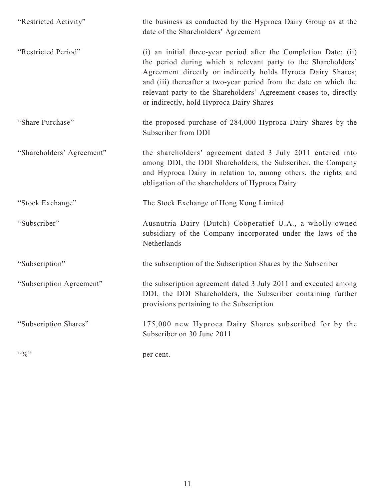| "Restricted Activity"            | the business as conducted by the Hyproca Dairy Group as at the<br>date of the Shareholders' Agreement                                                                                                                                                                                                                                                                                  |
|----------------------------------|----------------------------------------------------------------------------------------------------------------------------------------------------------------------------------------------------------------------------------------------------------------------------------------------------------------------------------------------------------------------------------------|
| "Restricted Period"              | (i) an initial three-year period after the Completion Date; (ii)<br>the period during which a relevant party to the Shareholders'<br>Agreement directly or indirectly holds Hyroca Dairy Shares;<br>and (iii) thereafter a two-year period from the date on which the<br>relevant party to the Shareholders' Agreement ceases to, directly<br>or indirectly, hold Hyproca Dairy Shares |
| "Share Purchase"                 | the proposed purchase of 284,000 Hyproca Dairy Shares by the<br>Subscriber from DDI                                                                                                                                                                                                                                                                                                    |
| "Shareholders' Agreement"        | the shareholders' agreement dated 3 July 2011 entered into<br>among DDI, the DDI Shareholders, the Subscriber, the Company<br>and Hyproca Dairy in relation to, among others, the rights and<br>obligation of the shareholders of Hyproca Dairy                                                                                                                                        |
| "Stock Exchange"                 | The Stock Exchange of Hong Kong Limited                                                                                                                                                                                                                                                                                                                                                |
| "Subscriber"                     | Ausnutria Dairy (Dutch) Coöperatief U.A., a wholly-owned<br>subsidiary of the Company incorporated under the laws of the<br>Netherlands                                                                                                                                                                                                                                                |
| "Subscription"                   | the subscription of the Subscription Shares by the Subscriber                                                                                                                                                                                                                                                                                                                          |
| "Subscription Agreement"         | the subscription agreement dated 3 July 2011 and executed among<br>DDI, the DDI Shareholders, the Subscriber containing further<br>provisions pertaining to the Subscription                                                                                                                                                                                                           |
| "Subscription Shares"            | 175,000 new Hyproca Dairy Shares subscribed for by the<br>Subscriber on 30 June 2011                                                                                                                                                                                                                                                                                                   |
| $\lq\lq\lq\lq\lq\lq\lq\lq\lq\lq$ | per cent.                                                                                                                                                                                                                                                                                                                                                                              |